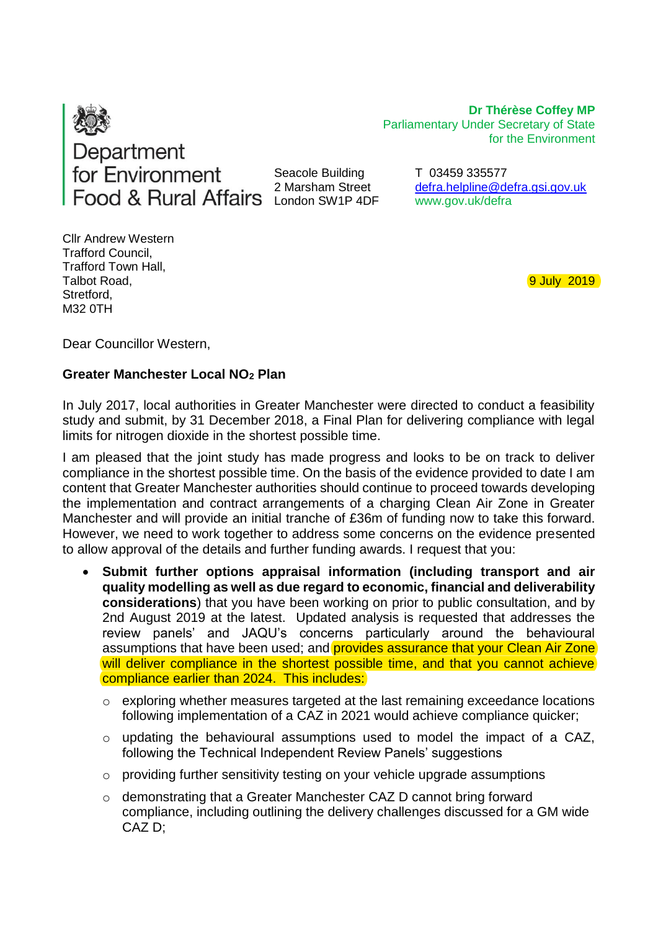

Seacole Building 2 Marsham Street London SW1P 4DF

for the Environment T 03459 335577

Parliamentary Under Secretary of State

**Dr Thérèse Coffey MP**

[defra.helpline@defra.gsi.gov.uk](mailto:defra.helpline@defra.gsi.gov.uk) www.gov.uk/defra

Cllr Andrew Western Trafford Council, Trafford Town Hall, Talbot Road, Stretford, M32 0TH

9 July 2019

Dear Councillor Western,

## **Greater Manchester Local NO<sup>2</sup> Plan**

In July 2017, local authorities in Greater Manchester were directed to conduct a feasibility study and submit, by 31 December 2018, a Final Plan for delivering compliance with legal limits for nitrogen dioxide in the shortest possible time.

I am pleased that the joint study has made progress and looks to be on track to deliver compliance in the shortest possible time. On the basis of the evidence provided to date I am content that Greater Manchester authorities should continue to proceed towards developing the implementation and contract arrangements of a charging Clean Air Zone in Greater Manchester and will provide an initial tranche of £36m of funding now to take this forward. However, we need to work together to address some concerns on the evidence presented to allow approval of the details and further funding awards. I request that you:

- **Submit further options appraisal information (including transport and air quality modelling as well as due regard to economic, financial and deliverability considerations**) that you have been working on prior to public consultation, and by 2nd August 2019 at the latest. Updated analysis is requested that addresses the review panels' and JAQU's concerns particularly around the behavioural assumptions that have been used; and provides assurance that your Clean Air Zone will deliver compliance in the shortest possible time, and that you cannot achieve compliance earlier than 2024. This includes:
	- o exploring whether measures targeted at the last remaining exceedance locations following implementation of a CAZ in 2021 would achieve compliance quicker;
	- o updating the behavioural assumptions used to model the impact of a CAZ, following the Technical Independent Review Panels' suggestions
	- o providing further sensitivity testing on your vehicle upgrade assumptions
	- o demonstrating that a Greater Manchester CAZ D cannot bring forward compliance, including outlining the delivery challenges discussed for a GM wide CAZ D;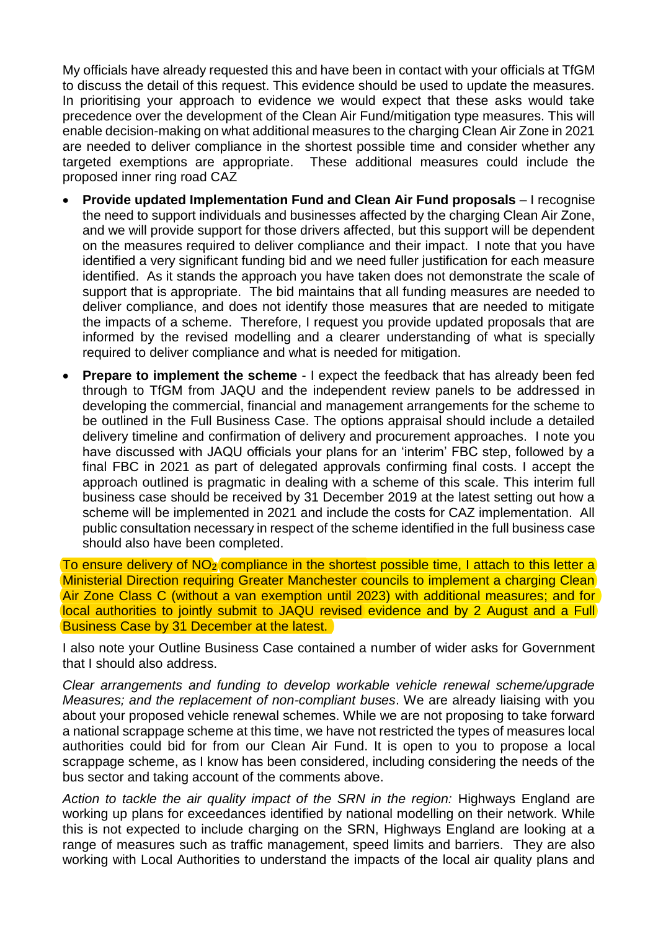My officials have already requested this and have been in contact with your officials at TfGM to discuss the detail of this request. This evidence should be used to update the measures. In prioritising your approach to evidence we would expect that these asks would take precedence over the development of the Clean Air Fund/mitigation type measures. This will enable decision-making on what additional measures to the charging Clean Air Zone in 2021 are needed to deliver compliance in the shortest possible time and consider whether any targeted exemptions are appropriate. These additional measures could include the proposed inner ring road CAZ

- **Provide updated Implementation Fund and Clean Air Fund proposals** I recognise the need to support individuals and businesses affected by the charging Clean Air Zone, and we will provide support for those drivers affected, but this support will be dependent on the measures required to deliver compliance and their impact. I note that you have identified a very significant funding bid and we need fuller justification for each measure identified. As it stands the approach you have taken does not demonstrate the scale of support that is appropriate. The bid maintains that all funding measures are needed to deliver compliance, and does not identify those measures that are needed to mitigate the impacts of a scheme. Therefore, I request you provide updated proposals that are informed by the revised modelling and a clearer understanding of what is specially required to deliver compliance and what is needed for mitigation.
- **Prepare to implement the scheme** I expect the feedback that has already been fed through to TfGM from JAQU and the independent review panels to be addressed in developing the commercial, financial and management arrangements for the scheme to be outlined in the Full Business Case. The options appraisal should include a detailed delivery timeline and confirmation of delivery and procurement approaches. I note you have discussed with JAQU officials your plans for an 'interim' FBC step, followed by a final FBC in 2021 as part of delegated approvals confirming final costs. I accept the approach outlined is pragmatic in dealing with a scheme of this scale. This interim full business case should be received by 31 December 2019 at the latest setting out how a scheme will be implemented in 2021 and include the costs for CAZ implementation. All public consultation necessary in respect of the scheme identified in the full business case should also have been completed.

To ensure delivery of  $NO<sub>2</sub>$  compliance in the shortest possible time, I attach to this letter a Ministerial Direction requiring Greater Manchester councils to implement a charging Clean Air Zone Class C (without a van exemption until 2023) with additional measures; and for local authorities to jointly submit to JAQU revised evidence and by 2 August and a Full Business Case by 31 December at the latest.

I also note your Outline Business Case contained a number of wider asks for Government that I should also address.

*Clear arrangements and funding to develop workable vehicle renewal scheme/upgrade Measures; and the replacement of non-compliant buses*. We are already liaising with you about your proposed vehicle renewal schemes. While we are not proposing to take forward a national scrappage scheme at this time, we have not restricted the types of measures local authorities could bid for from our Clean Air Fund. It is open to you to propose a local scrappage scheme, as I know has been considered, including considering the needs of the bus sector and taking account of the comments above.

*Action to tackle the air quality impact of the SRN in the region:* Highways England are working up plans for exceedances identified by national modelling on their network. While this is not expected to include charging on the SRN, Highways England are looking at a range of measures such as traffic management, speed limits and barriers. They are also working with Local Authorities to understand the impacts of the local air quality plans and